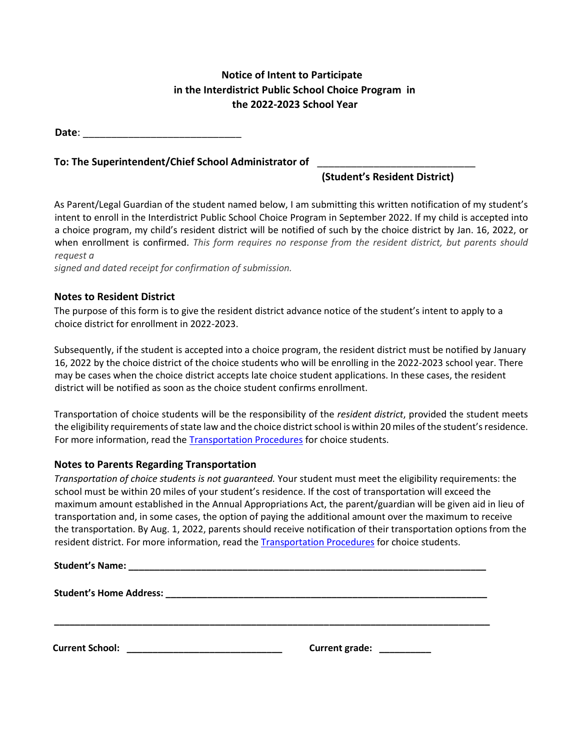## **Notice of Intent to Participate in the Interdistrict Public School Choice Program in the 2022-2023 School Year**

**Date**:

## **To: The Superintendent/Chief School Administrator of** \_\_\_\_\_\_\_\_\_\_\_\_\_\_\_\_\_\_\_\_\_\_\_\_\_\_\_\_

**(Student's Resident District)**

As Parent/Legal Guardian of the student named below, I am submitting this written notification of my student's intent to enroll in the Interdistrict Public School Choice Program in September 2022. If my child is accepted into a choice program, my child's resident district will be notified of such by the choice district by Jan. 16, 2022, or when enrollment is confirmed. *This form requires no response from the resident district, but parents should request a* 

*signed and dated receipt for confirmation of submission.*

## **Notes to Resident District**

The purpose of this form is to give the resident district advance notice of the student's intent to apply to a choice district for enrollment in 2022-2023.

Subsequently, if the student is accepted into a choice program, the resident district must be notified by January 16, 2022 by the choice district of the choice students who will be enrolling in the 2022-2023 school year. There may be cases when the choice district accepts late choice student applications. In these cases, the resident district will be notified as soon as the choice student confirms enrollment.

Transportation of choice students will be the responsibility of the *resident district*, provided the student meets the eligibility requirements of state law and the choice district school is within 20 miles of the student's residence. For more information, read the [Transportation Procedures](http://www.state.nj.us/education/finance/transportation/procedures/choice_proc.pdf) for choice students.

## **Notes to Parents Regarding Transportation**

*Transportation of choice students is not guaranteed.* Your student must meet the eligibility requirements: the school must be within 20 miles of your student's residence. If the cost of transportation will exceed the maximum amount established in the Annual Appropriations Act, the parent/guardian will be given aid in lieu of transportation and, in some cases, the option of paying the additional amount over the maximum to receive the transportation. By Aug. 1, 2022, parents should receive notification of their transportation options from the resident district. For more information, read th[e Transportation Procedures](http://www.state.nj.us/education/finance/transportation/procedures/choice_proc.pdf) for choice students.

**\_\_\_\_\_\_\_\_\_\_\_\_\_\_\_\_\_\_\_\_\_\_\_\_\_\_\_\_\_\_\_\_\_\_\_\_\_\_\_\_\_\_\_\_\_\_\_\_\_\_\_\_\_\_\_\_\_\_\_\_\_\_\_\_\_\_\_\_\_\_\_\_\_\_\_\_\_\_\_\_\_\_\_\_**

| <b>Student's Name:</b> |  |
|------------------------|--|
|                        |  |

**Student's Home Address: \_\_\_\_\_\_\_\_\_\_\_\_\_\_\_\_\_\_\_\_\_\_\_\_\_\_\_\_\_\_\_\_\_\_\_\_\_\_\_\_\_\_\_\_\_\_\_\_\_\_\_\_\_\_\_\_\_\_\_\_\_\_** 

**Current School: \_\_\_\_\_\_\_\_\_\_\_\_\_\_\_\_\_\_\_\_\_\_\_\_\_\_\_\_\_\_ Current grade: \_\_\_\_\_\_\_\_\_\_**